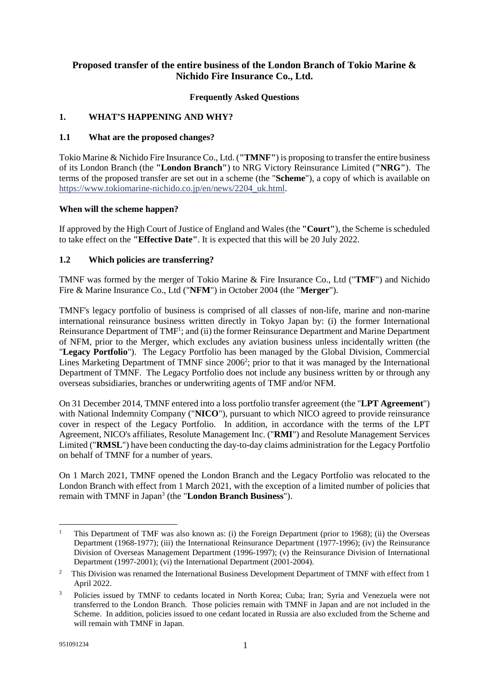# **Proposed transfer of the entire business of the London Branch of Tokio Marine & Nichido Fire Insurance Co., Ltd.**

#### **Frequently Asked Questions**

#### **1. WHAT'S HAPPENING AND WHY?**

#### **1.1 What are the proposed changes?**

Tokio Marine & Nichido Fire Insurance Co., Ltd. (**"TMNF"**) is proposing to transfer the entire business of its London Branch (the **"London Branch"**) to NRG Victory Reinsurance Limited (**"NRG"**). The terms of the proposed transfer are set out in a scheme (the "**Scheme**"), a copy of which is available on [https://www.tokiomarine-nichido.co.jp/en/news/2204\\_uk.html.](https://www.tokiomarine-nichido.co.jp/en/news/2204_uk.html)

#### **When will the scheme happen?**

If approved by the High Court of Justice of England and Wales (the **"Court"**), the Scheme is scheduled to take effect on the **"Effective Date"**. It is expected that this will be 20 July 2022.

#### **1.2 Which policies are transferring?**

TMNF was formed by the merger of Tokio Marine & Fire Insurance Co., Ltd ("**TMF**") and Nichido Fire & Marine Insurance Co., Ltd ("**NFM**") in October 2004 (the "**Merger**").

TMNF's legacy portfolio of business is comprised of all classes of non-life, marine and non-marine international reinsurance business written directly in Tokyo Japan by: (i) the former International Reinsurance Department of TMF<sup>[1](#page-0-0)</sup>; and (ii) the former Reinsurance Department and Marine Department of NFM, prior to the Merger, which excludes any aviation business unless incidentally written (the "**Legacy Portfolio**"). The Legacy Portfolio has been managed by the Global Division, Commercial Lines Marketing Department of TMNF since [2](#page-0-1)006<sup>2</sup>; prior to that it was managed by the International Department of TMNF. The Legacy Portfolio does not include any business written by or through any overseas subsidiaries, branches or underwriting agents of TMF and/or NFM.

On 31 December 2014, TMNF entered into a loss portfolio transfer agreement (the "**LPT Agreement**") with National Indemnity Company ("**NICO**"), pursuant to which NICO agreed to provide reinsurance cover in respect of the Legacy Portfolio. In addition, in accordance with the terms of the LPT Agreement, NICO's affiliates, Resolute Management Inc. ("**RMI**") and Resolute Management Services Limited ("**RMSL**") have been conducting the day-to-day claims administration for the Legacy Portfolio on behalf of TMNF for a number of years.

On 1 March 2021, TMNF opened the London Branch and the Legacy Portfolio was relocated to the London Branch with effect from 1 March 2021, with the exception of a limited number of policies that remain with TMNF in Japan<sup>[3](#page-0-2)</sup> (the "**London Branch Business**").

<span id="page-0-0"></span><sup>1</sup> This Department of TMF was also known as: (i) the Foreign Department (prior to 1968); (ii) the Overseas Department (1968-1977); (iii) the International Reinsurance Department (1977-1996); (iv) the Reinsurance Division of Overseas Management Department (1996-1997); (v) the Reinsurance Division of International Department (1997-2001); (vi) the International Department (2001-2004).

<span id="page-0-1"></span><sup>2</sup> This Division was renamed the International Business Development Department of TMNF with effect from 1 April 2022.

<span id="page-0-2"></span><sup>3</sup> Policies issued by TMNF to cedants located in North Korea; Cuba; Iran; Syria and Venezuela were not transferred to the London Branch. Those policies remain with TMNF in Japan and are not included in the Scheme. In addition, policies issued to one cedant located in Russia are also excluded from the Scheme and will remain with TMNF in Japan.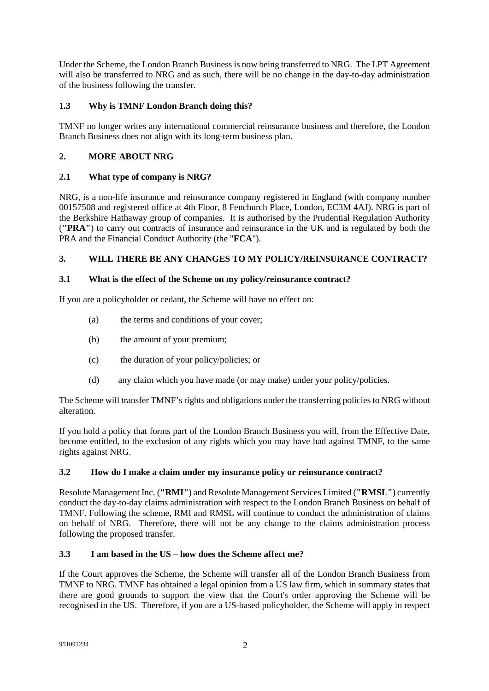Under the Scheme, the London Branch Business is now being transferred to NRG. The LPT Agreement will also be transferred to NRG and as such, there will be no change in the day-to-day administration of the business following the transfer.

# **1.3 Why is TMNF London Branch doing this?**

TMNF no longer writes any international commercial reinsurance business and therefore, the London Branch Business does not align with its long-term business plan.

# **2. MORE ABOUT NRG**

## **2.1 What type of company is NRG?**

NRG, is a non-life insurance and reinsurance company registered in England (with company number 00157508 and registered office at 4th Floor, 8 Fenchurch Place, London, EC3M 4AJ). NRG is part of the Berkshire Hathaway group of companies. It is authorised by the Prudential Regulation Authority (**"PRA"**) to carry out contracts of insurance and reinsurance in the UK and is regulated by both the PRA and the Financial Conduct Authority (the "**FCA**").

# **3. WILL THERE BE ANY CHANGES TO MY POLICY/REINSURANCE CONTRACT?**

## **3.1 What is the effect of the Scheme on my policy/reinsurance contract?**

If you are a policyholder or cedant, the Scheme will have no effect on:

- (a) the terms and conditions of your cover;
- (b) the amount of your premium;
- (c) the duration of your policy/policies; or
- (d) any claim which you have made (or may make) under your policy/policies.

The Scheme will transfer TMNF's rights and obligations under the transferring policies to NRG without alteration.

If you hold a policy that forms part of the London Branch Business you will, from the Effective Date, become entitled, to the exclusion of any rights which you may have had against TMNF, to the same rights against NRG.

## **3.2 How do I make a claim under my insurance policy or reinsurance contract?**

Resolute Management Inc. (**"RMI"**) and Resolute Management Services Limited (**"RMSL"**) currently conduct the day-to-day claims administration with respect to the London Branch Business on behalf of TMNF. Following the scheme, RMI and RMSL will continue to conduct the administration of claims on behalf of NRG. Therefore, there will not be any change to the claims administration process following the proposed transfer.

#### **3.3 I am based in the US – how does the Scheme affect me?**

If the Court approves the Scheme, the Scheme will transfer all of the London Branch Business from TMNF to NRG. TMNF has obtained a legal opinion from a US law firm, which in summary states that there are good grounds to support the view that the Court's order approving the Scheme will be recognised in the US. Therefore, if you are a US-based policyholder, the Scheme will apply in respect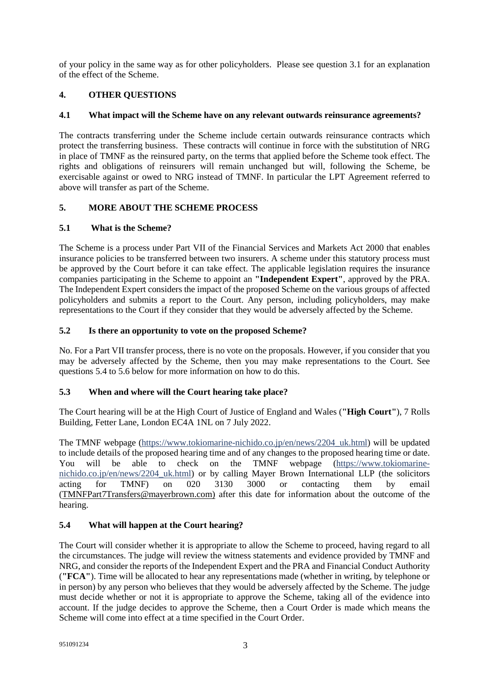of your policy in the same way as for other policyholders. Please see question 3.1 for an explanation of the effect of the Scheme.

## **4. OTHER QUESTIONS**

#### **4.1 What impact will the Scheme have on any relevant outwards reinsurance agreements?**

The contracts transferring under the Scheme include certain outwards reinsurance contracts which protect the transferring business. These contracts will continue in force with the substitution of NRG in place of TMNF as the reinsured party, on the terms that applied before the Scheme took effect. The rights and obligations of reinsurers will remain unchanged but will, following the Scheme, be exercisable against or owed to NRG instead of TMNF. In particular the LPT Agreement referred to above will transfer as part of the Scheme.

## **5. MORE ABOUT THE SCHEME PROCESS**

## **5.1 What is the Scheme?**

The Scheme is a process under Part VII of the Financial Services and Markets Act 2000 that enables insurance policies to be transferred between two insurers. A scheme under this statutory process must be approved by the Court before it can take effect. The applicable legislation requires the insurance companies participating in the Scheme to appoint an **"Independent Expert"**, approved by the PRA. The Independent Expert considers the impact of the proposed Scheme on the various groups of affected policyholders and submits a report to the Court. Any person, including policyholders, may make representations to the Court if they consider that they would be adversely affected by the Scheme.

## **5.2 Is there an opportunity to vote on the proposed Scheme?**

No. For a Part VII transfer process, there is no vote on the proposals. However, if you consider that you may be adversely affected by the Scheme, then you may make representations to the Court. See questions 5.4 to 5.6 below for more information on how to do this.

## **5.3 When and where will the Court hearing take place?**

The Court hearing will be at the High Court of Justice of England and Wales (**"High Court"**), 7 Rolls Building, Fetter Lane, London EC4A 1NL on 7 July 2022.

The TMNF webpage ([https://www.tokiomarine-nichido.co.jp/en/news/2204\\_uk.html](https://www.tokiomarine-nichido.co.jp/en/news/2204_uk.html)) will be updated to include details of the proposed hearing time and of any changes to the proposed hearing time or date. You will be able to check on the TMNF webpage ([https://www.tokiomarine](https://www.tokiomarine-nichido.co.jp/en/news/2204_uk.html)[nichido.co.jp/en/news/2204\\_uk.html\) or by calling Mayer Brown International LLP \(the solicitors](https://www.tokiomarine-nichido.co.jp/en/news/2204_uk.html)  acting for TMNF) on 020 3130 3000 or contacting them by email ([TMNFPart7Transfers@mayerbrown.com\)](mailto:TMNFPart7Transfers@mayerbrown.com) after this date for information about the outcome of the hearing.

## **5.4 What will happen at the Court hearing?**

The Court will consider whether it is appropriate to allow the Scheme to proceed, having regard to all the circumstances. The judge will review the witness statements and evidence provided by TMNF and NRG, and consider the reports of the Independent Expert and the PRA and Financial Conduct Authority (**"FCA"**). Time will be allocated to hear any representations made (whether in writing, by telephone or in person) by any person who believes that they would be adversely affected by the Scheme. The judge must decide whether or not it is appropriate to approve the Scheme, taking all of the evidence into account. If the judge decides to approve the Scheme, then a Court Order is made which means the Scheme will come into effect at a time specified in the Court Order.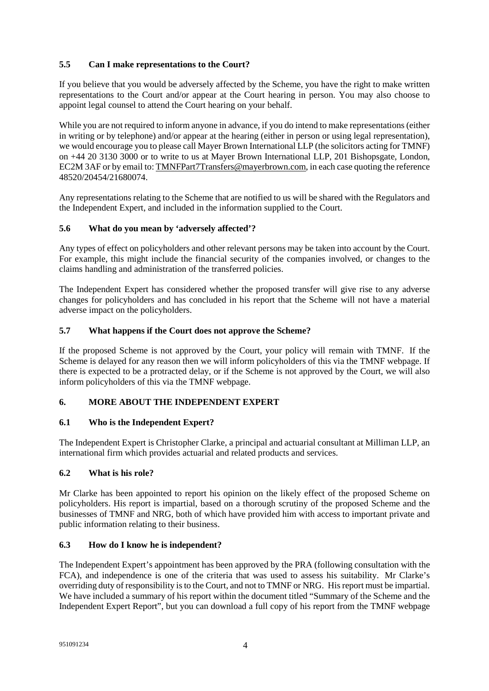# **5.5 Can I make representations to the Court?**

If you believe that you would be adversely affected by the Scheme, you have the right to make written representations to the Court and/or appear at the Court hearing in person. You may also choose to appoint legal counsel to attend the Court hearing on your behalf.

While you are not required to inform anyone in advance, if you do intend to make representations (either in writing or by telephone) and/or appear at the hearing (either in person or using legal representation), we would encourage you to please call Mayer Brown International LLP (the solicitors acting for TMNF) on +44 20 3130 3000 or to write to us at Mayer Brown International LLP, 201 Bishopsgate, London, EC2M 3AF or by email to: [TMNFPart7Transfers@mayerbrown.com,](mailto:TMNFPart7Transfers@mayerbrown.com) in each case quoting the reference 48520/20454/21680074.

Any representations relating to the Scheme that are notified to us will be shared with the Regulators and the Independent Expert, and included in the information supplied to the Court.

#### **5.6 What do you mean by 'adversely affected'?**

Any types of effect on policyholders and other relevant persons may be taken into account by the Court. For example, this might include the financial security of the companies involved, or changes to the claims handling and administration of the transferred policies.

The Independent Expert has considered whether the proposed transfer will give rise to any adverse changes for policyholders and has concluded in his report that the Scheme will not have a material adverse impact on the policyholders.

#### **5.7 What happens if the Court does not approve the Scheme?**

If the proposed Scheme is not approved by the Court, your policy will remain with TMNF. If the Scheme is delayed for any reason then we will inform policyholders of this via the TMNF webpage. If there is expected to be a protracted delay, or if the Scheme is not approved by the Court, we will also inform policyholders of this via the TMNF webpage.

# **6. MORE ABOUT THE INDEPENDENT EXPERT**

## **6.1 Who is the Independent Expert?**

The Independent Expert is Christopher Clarke, a principal and actuarial consultant at Milliman LLP, an international firm which provides actuarial and related products and services.

#### **6.2 What is his role?**

Mr Clarke has been appointed to report his opinion on the likely effect of the proposed Scheme on policyholders. His report is impartial, based on a thorough scrutiny of the proposed Scheme and the businesses of TMNF and NRG, both of which have provided him with access to important private and public information relating to their business.

#### **6.3 How do I know he is independent?**

The Independent Expert's appointment has been approved by the PRA (following consultation with the FCA), and independence is one of the criteria that was used to assess his suitability. Mr Clarke's overriding duty of responsibility is to the Court, and not to TMNF or NRG. His report must be impartial. We have included a summary of his report within the document titled "Summary of the Scheme and the Independent Expert Report", but you can download a full copy of his report from the TMNF webpage